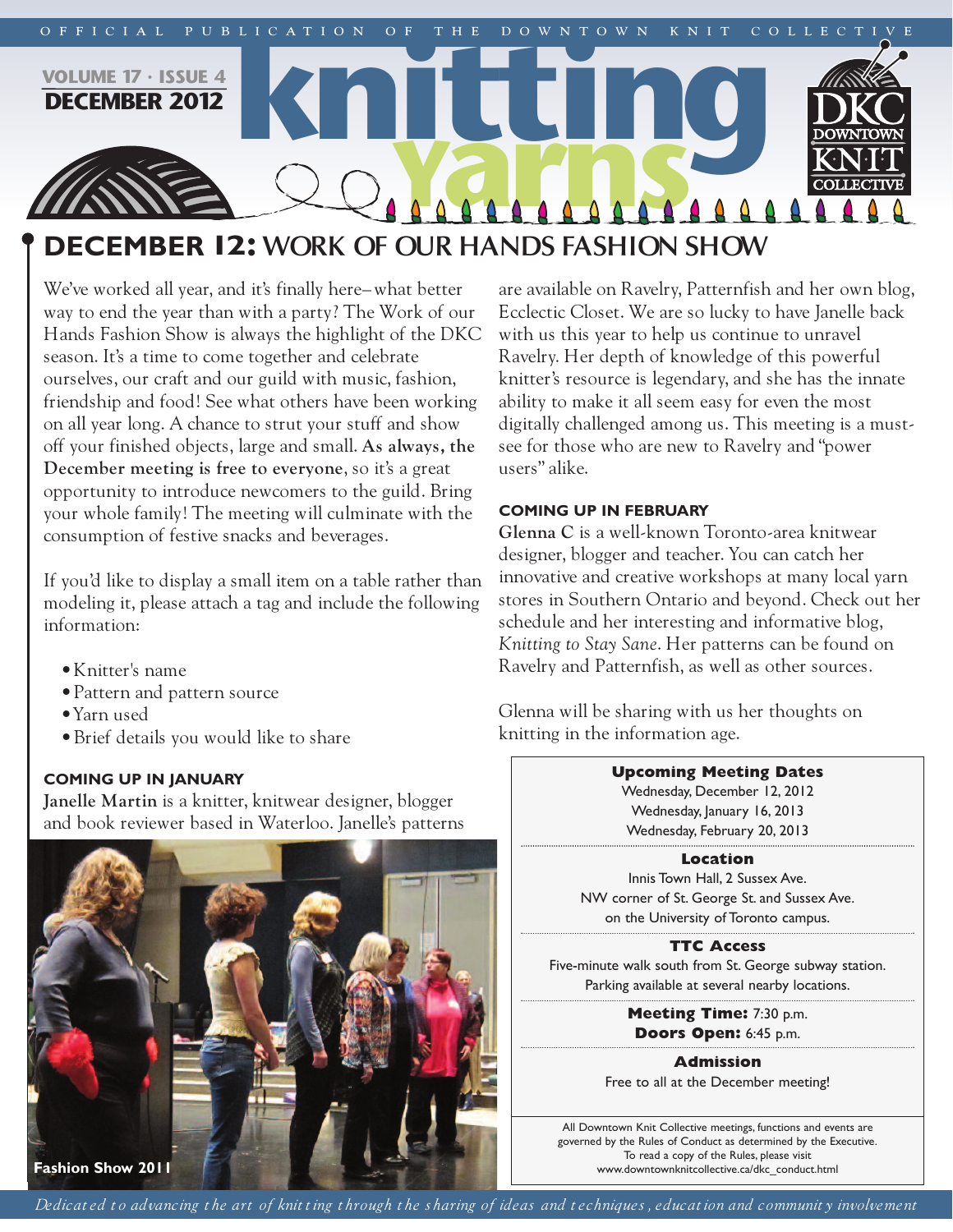

# **december 12: WORK OF OUR HANDS FASHION SHOW**

We've worked all year, and it's finally here–what better way to end the year than with a party? The Work of our Hands Fashion Show is always the highlight of the DKC season. It's a time to come together and celebrate ourselves, our craft and our guild with music, fashion, friendship and food! See what others have been working on all year long. A chance to strut your stuff and show off your finished objects, large and small. **As always, the December meeting is free to everyone**, so it's a great opportunity to introduce newcomers to the guild. Bring your whole family! The meeting will culminate with the consumption of festive snacks and beverages.

If you'd like to display a small item on a table rather than modeling it, please attach a tag and include the following information:

- •Knitter's name
- •Pattern and pattern source
- •Yarn used
- •Brief details you would like to share

# **coming up in january**

**Janelle Martin** is a knitter, knitwear designer, blogger and book reviewer based in Waterloo. Janelle's patterns



are available on Ravelry, Patternfish and her own blog, Ecclectic Closet. We are so lucky to have Janelle back with us this year to help us continue to unravel Ravelry. Her depth of knowledge of this powerful knitter's resource is legendary, and she has the innate ability to make it all seem easy for even the most digitally challenged among us. This meeting is a mustsee for those who are new to Ravelry and "power users" alike.

## **coming up in February**

**Glenna C** is a well-known Toronto-area knitwear designer, blogger and teacher. You can catch her innovative and creative workshops at many local yarn stores in Southern Ontario and beyond. Check out her schedule and her interesting and informative blog, *Knitting to Stay Sane*. Her patterns can be found on Ravelry and Patternfish, as well as other sources.

Glenna will be sharing with us her thoughts on knitting in the information age.

## **Upcoming Meeting Dates**

Wednesday, December 12, 2012 Wednesday, January 16, 2013 Wednesday, February 20, 2013

#### **Location**

Innis Town Hall, 2 Sussex Ave. NW corner of St. George St. and Sussex Ave. on the University of Toronto campus.

# **TTC Access**

Five-minute walk south from St. George subway station. Parking available at several nearby locations.

> **Meeting Time:** 7:30 p.m. **Doors Open:** 6:45 p.m.

**Admission** Free to all at the December meeting!

All Downtown Knit Collective meetings, functions and events are governed by the Rules of Conduct as determined by the Executive. To read a copy of the Rules, please visit www.downtownknitcollective.ca/dkc\_conduct.html

Dedicated to advancing the art of knitting through the sharing of ideas and techniques, education and community involvement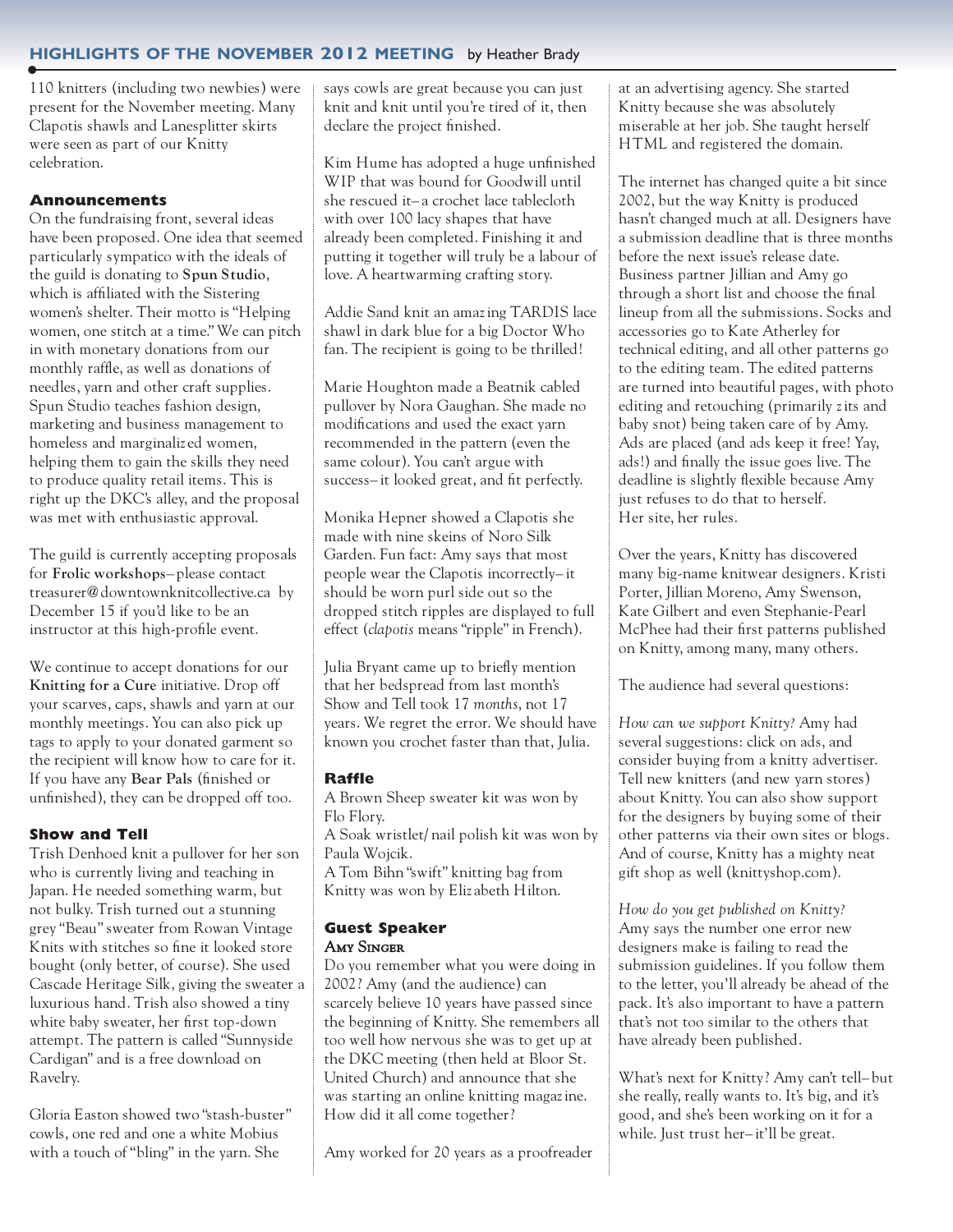## **highlightS oF the november 2012 meeting** by Heather Brady

110 knitters (including two newbies) were present for the November meeting. Many Clapotis shawls and Lanesplitter skirts were seen as part of our Knitty celebration.

## **Announcements**

On the fundraising front, several ideas have been proposed. One idea that seemed particularly sympatico with the ideals of the guild is donating to **Spun Studio**, which is affiliated with the Sistering women's shelter. Their motto is "Helping women, one stitch at a time." We can pitch in with monetary donations from our monthly raffle, as well as donations of needles, yarn and other craft supplies. Spun Studio teaches fashion design, marketing and business management to homeless and marginaliz ed women, helping them to gain the skills they need to produce quality retail items. This is right up the DKC's alley, and the proposal was met with enthusiastic approval.

The guild is currently accepting proposals for **Frolic workshops**– please contact treasurer@downtownknitcollective.ca by December 15 if you'd like to be an instructor at this high-profile event.

We continue to accept donations for our **Knitting for a Cure** initiative. Drop off your scarves, caps, shawls and yarn at our monthly meetings. You can also pick up tags to apply to your donated garment so the recipient will know how to care for it. If you have any **Bear Pals** (finished or unfinished), they can be dropped off too.

## **Show and Tell**

Trish Denhoed knit a pullover for her son who is currently living and teaching in Japan. He needed something warm, but not bulky. Trish turned out a stunning grey "Beau" sweater from Rowan Vintage Knits with stitches so fine it looked store bought (only better, of course). She used Cascade Heritage Silk, giving the sweater a luxurious hand. Trish also showed a tiny white baby sweater, her first top-down attempt. The pattern is called "Sunnyside Cardigan" and is a free download on Ravelry.

Gloria Easton showed two "stash-buster" cowls, one red and one a white Mobius with a touch of "bling" in the yarn. She

says cowls are great because you can just knit and knit until you're tired of it, then declare the project finished.

Kim Hume has adopted a huge unfinished WIP that was bound for Goodwill until she rescued it– a crochet lace tablecloth with over 100 lacy shapes that have already been completed. Finishing it and putting it together will truly be a labour of love. A heartwarming crafting story.

Addie Sand knit an amazing TARDIS lace shawl in dark blue for a big Doctor Who fan. The recipient is going to be thrilled!

Marie Houghton made a Beatnik cabled pullover by Nora Gaughan. She made no modifications and used the exact yarn recommended in the pattern (even the same colour). You can't argue with success– it looked great, and fit perfectly.

Monika Hepner showed a Clapotis she made with nine skeins of Noro Silk Garden. Fun fact: Amy says that most people wear the Clapotis incorrectly– it should be worn purl side out so the dropped stitch ripples are displayed to full effect (*clapotis* means "ripple" in French).

Julia Bryant came up to briefly mention that her bedspread from last month's Show and Tell took 17 *months*, not 17 years. We regret the error. We should have known you crochet faster than that, Julia.

## **Raffle**

A Brown Sheep sweater kit was won by Flo Flory.

A Soak wristlet/ nail polish kit was won by Paula Wojcik.

A Tom Bihn "swift" knitting bag from Knitty was won by Eliz abeth Hilton.

#### **Guest Speaker** Amy Singer

Do you remember what you were doing in 2002? Amy (and the audience) can scarcely believe 10 years have passed since the beginning of Knitty. She remembers all too well how nervous she was to get up at the DKC meeting (then held at Bloor St. United Church) and announce that she was starting an online knitting magazine. How did it all come together?

Amy worked for 20 years as a proofreader

at an advertising agency. She started Knitty because she was absolutely miserable at her job. She taught herself HTML and registered the domain.

The internet has changed quite a bit since 2002, but the way Knitty is produced hasn't changed much at all. Designers have a submission deadline that is three months before the next issue's release date. Business partner Jillian and Amy go through a short list and choose the final lineup from all the submissions. Socks and accessories go to Kate Atherley for technical editing, and all other patterns go to the editing team. The edited patterns are turned into beautiful pages, with photo editing and retouching (primarily zits and baby snot) being taken care of by Amy. Ads are placed (and ads keep it free! Yay, ads!) and finally the issue goes live. The deadline is slightly flexible because Amy just refuses to do that to herself. Her site, her rules.

Over the years, Knitty has discovered many big-name knitwear designers. Kristi Porter, Jillian Moreno, Amy Swenson, Kate Gilbert and even Stephanie-Pearl McPhee had their first patterns published on Knitty, among many, many others.

The audience had several questions:

*How can we support Knitty?* Amy had several suggestions: click on ads, and consider buying from a knitty advertiser. Tell new knitters (and new yarn stores) about Knitty. You can also show support for the designers by buying some of their other patterns via their own sites or blogs. And of course, Knitty has a mighty neat gift shop as well (knittyshop.com).

*How do you get published on Knitty?* Amy says the number one error new designers make is failing to read the submission guidelines. If you follow them to the letter, you'll already be ahead of the pack. It's also important to have a pattern that's not too similar to the others that have already been published.

What's next for Knitty? Amy can't tell– but she really, really wants to. It's big, and it's good, and she's been working on it for a while. Just trust her– it'll be great.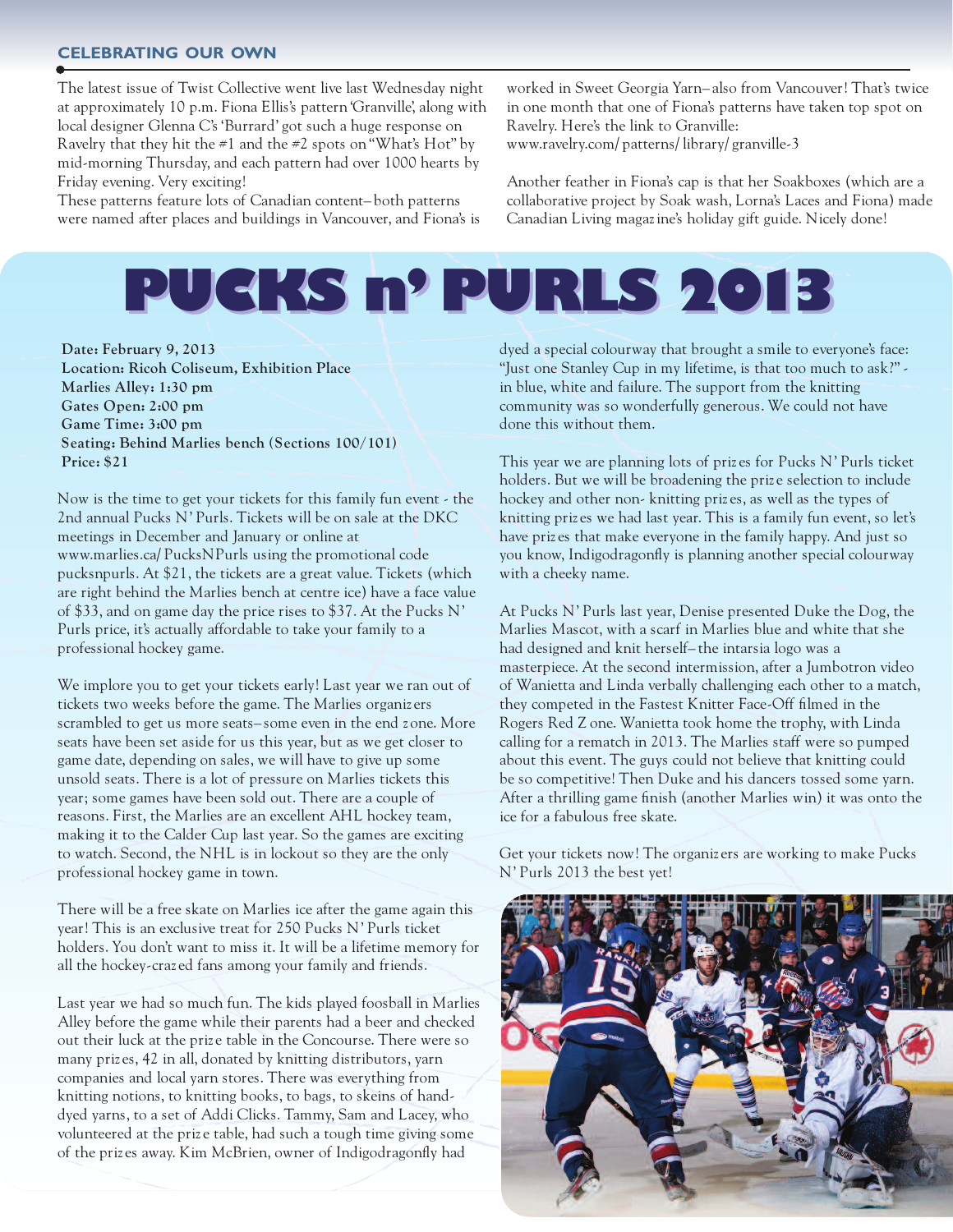#### **celebrating our own**

The latest issue of Twist Collective went live last Wednesday night at approximately 10 p.m. Fiona Ellis's pattern 'Granville', along with local designer Glenna C's 'Burrard' got such a huge response on Ravelry that they hit the  $\#1$  and the  $\#2$  spots on "What's Hot" by mid-morning Thursday, and each pattern had over 1000 hearts by Friday evening. Very exciting!

These patterns feature lots of Canadian content– both patterns were named after places and buildings in Vancouver, and Fiona's is

worked in Sweet Georgia Yarn– also from Vancouver! That's twice in one month that one of Fiona's patterns have taken top spot on Ravelry. Here's the link to Granville: www.ravelry.com/ patterns/ library/ granville-3

Another feather in Fiona's cap is that her Soakboxes (which are a collaborative project by Soak wash, Lorna's Laces and Fiona) made Canadian Living magazine's holiday gift guide. Nicely done!



**Date: February 9, 2013 Location: Ricoh Coliseum, Exhibition Place Marlies Alley: 1:30 pm Gates Open: 2:00 pm Game Time: 3:00 pm Seating: Behind Marlies bench (Sections 100/101) Price: \$21**

Now is the time to get your tickets for this family fun event - the 2nd annual Pucks N' Purls. Tickets will be on sale at the DKC meetings in December and January or online at www.marlies.ca/ PucksNPurls using the promotional code pucksnpurls. At \$21, the tickets are a great value. Tickets (which are right behind the Marlies bench at centre ice) have a face value of \$33, and on game day the price rises to \$37. At the Pucks N' Purls price, it's actually affordable to take your family to a professional hockey game.

We implore you to get your tickets early! Last year we ran out of tickets two weeks before the game. The Marlies organiz ers scrambled to get us more seats– some even in the end z one. More seats have been set aside for us this year, but as we get closer to game date, depending on sales, we will have to give up some unsold seats. There is a lot of pressure on Marlies tickets this year; some games have been sold out. There are a couple of reasons. First, the Marlies are an excellent AHL hockey team, making it to the Calder Cup last year. So the games are exciting to watch. Second, the NHL is in lockout so they are the only professional hockey game in town.

There will be a free skate on Marlies ice after the game again this year! This is an exclusive treat for 250 Pucks N' Purls ticket holders. You don't want to miss it. It will be a lifetime memory for all the hockey-craz ed fans among your family and friends.

Last year we had so much fun. The kids played foosball in Marlies Alley before the game while their parents had a beer and checked out their luck at the priz e table in the Concourse. There were so many priz es, 42 in all, donated by knitting distributors, yarn companies and local yarn stores. There was everything from knitting notions, to knitting books, to bags, to skeins of handdyed yarns, to a set of Addi Clicks. Tammy, Sam and Lacey, who volunteered at the prize table, had such a tough time giving some of the priz es away. Kim McBrien, owner of Indigodragonfly had

dyed a special colourway that brought a smile to everyone's face: "Just one Stanley Cup in my lifetime, is that too much to ask?" in blue, white and failure. The support from the knitting community was so wonderfully generous. We could not have done this without them.

This year we are planning lots of priz es for Pucks N' Purls ticket holders. But we will be broadening the prize selection to include hockey and other non- knitting priz es, as well as the types of knitting priz es we had last year. This is a family fun event, so let's have priz es that make everyone in the family happy. And just so you know, Indigodragonfly is planning another special colourway with a cheeky name.

At Pucks N' Purls last year, Denise presented Duke the Dog, the Marlies Mascot, with a scarf in Marlies blue and white that she had designed and knit herself– the intarsia logo was a masterpiece. At the second intermission, after a Jumbotron video of Wanietta and Linda verbally challenging each other to a match, they competed in the Fastest Knitter Face-Off filmed in the Rogers Red Z one. Wanietta took home the trophy, with Linda calling for a rematch in 2013. The Marlies staff were so pumped about this event. The guys could not believe that knitting could be so competitive! Then Duke and his dancers tossed some yarn. After a thrilling game finish (another Marlies win) it was onto the ice for a fabulous free skate.

Get your tickets now! The organiz ers are working to make Pucks N' Purls 2013 the best yet!